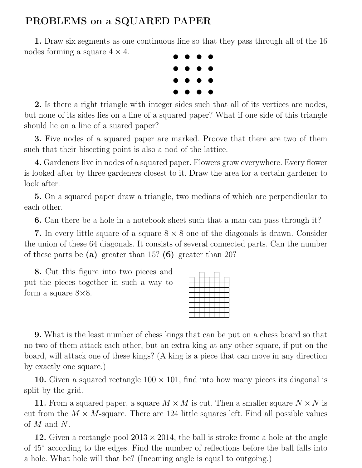## PROBLEMS on a SQUARED PAPER

1. Draw six segments as one continuous line so that they pass through all of the 16 nodes forming a square  $4 \times 4$ .



2. Is there a right triangle with integer sides such that all of its vertices are nodes, but none of its sides lies on a line of a squared paper? What if one side of this triangle should lie on a line of a suared paper?

3. Five nodes of a squared paper are marked. Proove that there are two of them such that their bisecting point is also a nod of the lattice.

4. Gardeners live in nodes of a squared paper. Flowers grow everywhere. Every flower is looked after by three gardeners closest to it. Draw the area for a certain gardener to look after.

5. On a squared paper draw a triangle, two medians of which are perpendicular to each other.

6. Can there be a hole in a notebook sheet such that a man can pass through it?

7. In every little square of a square  $8 \times 8$  one of the diagonals is drawn. Consider the union of these 64 diagonals. It consists of several connected parts. Can the number of these parts be (a) greater than 15? (6) greater than 20?

8. Cut this figure into two pieces and put the pieces together in such a way to form a square  $8\times8$ .

9. What is the least number of chess kings that can be put on a chess board so that no two of them attack each other, but an extra king at any other square, if put on the board, will attack one of these kings? (A king is a piece that can move in any direction by exactly one square.)

10. Given a squared rectangle  $100 \times 101$ , find into how many pieces its diagonal is split by the grid.

11. From a squared paper, a square  $M \times M$  is cut. Then a smaller square  $N \times N$  is cut from the  $M \times M$ -square. There are 124 little squares left. Find all possible values of M and N.

12. Given a rectangle pool  $2013 \times 2014$ , the ball is stroke frome a hole at the angle of 45◦ according to the edges. Find the number of reflections before the ball falls into a hole. What hole will that be? (Incoming angle is equal to outgoing.)